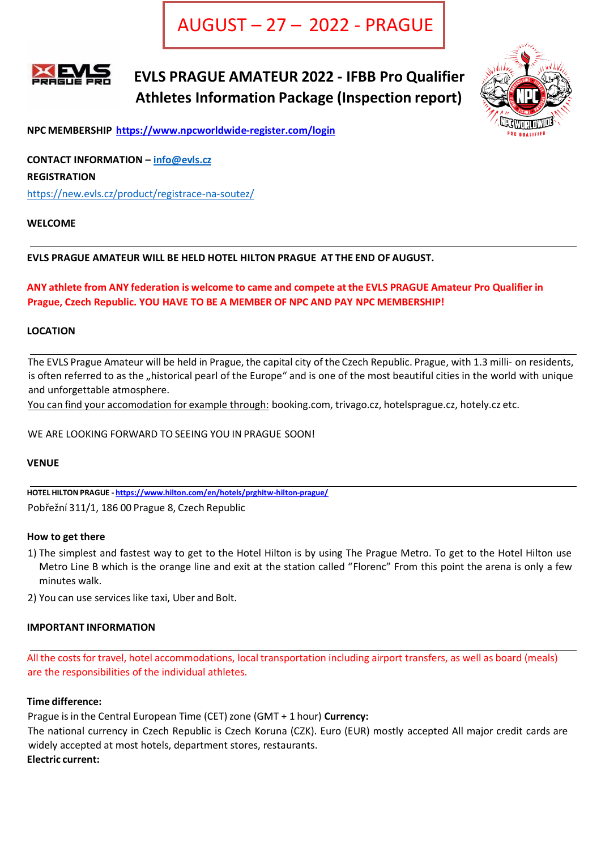AUGUST – 27 – 2022 - PRAGUE



# **EVLS PRAGUE AMATEUR 2022 - IFBB Pro Qualifier Athletes Information Package (Inspection report)**



**NPC MEMBERSHIP <https://www.npcworldwide-register.com/login>**

**CONTACT INFORMATION – [info@evls.cz](mailto:info@evls.cz)**

**REGISTRATION**

<https://new.evls.cz/product/registrace>[-na-soutez/](https://new.evls.cz/product/registrace-na-soutez/)

**WELCOME**

## **EVLS PRAGUE AMATEUR WILL BE HELD HOTEL HILTON PRAGUE AT THE END OF AUGUST.**

## **ANY athlete from ANY federation is welcome to came and compete at the EVLS PRAGUE Amateur Pro Qualifier in Prague, Czech Republic. YOU HAVE TO BE A MEMBER OF NPC AND PAY NPC MEMBERSHIP!**

## **LOCATION**

The EVLS Prague Amateur will be held in Prague, the capital city of the Czech Republic. Prague, with 1.3 milli- on residents, is often referred to as the "historical pearl of the Europe" and is one of the most beautiful cities in the world with unique and unforgettable atmosphere.

You can find your accomodation for example through: [booking.com](http://www.booking.com/)[,](http://www.trivago.cz/) [trivago.cz](http://www.trivago.cz/)[,](http://www.hotelsprague.cz/) [hotelsprague.cz](http://www.hotelsprague.cz/)[,](http://www.hotely.cz/) [hotely.cz](http://www.hotely.cz/) etc.

WE ARE LOOKING FORWARD TO SEEING YOU IN PRAGUE SOON!

#### **VENUE**

**HOTEL HILTON PRAGUE - <https://www.hilton.com/en/hotels/prghitw-hilton-prague/>** Pobřežní 311/1, 186 00 Prague 8, Czech Republic

#### **How to get there**

- 1) The simplest and fastest way to get to the Hotel Hilton is by using The Prague Metro. To get to the Hotel Hilton use Metro Line B which is the orange line and exit at the station called "Florenc" From this point the arena is only a few minutes walk.
- 2) You can use services like taxi, Uber and Bolt.

## **IMPORTANT INFORMATION**

All the costs for travel, hotel accommodations, local transportation including airport transfers, as well as board (meals) are the responsibilities of the individual athletes.

#### **Time difference:**

Prague is in the Central European Time (CET) zone (GMT + 1 hour) **Currency:** The national currency in Czech Republic is Czech Koruna (CZK). Euro (EUR) mostly accepted All major credit cards are widely accepted at most hotels, department stores, restaurants. **Electric current:**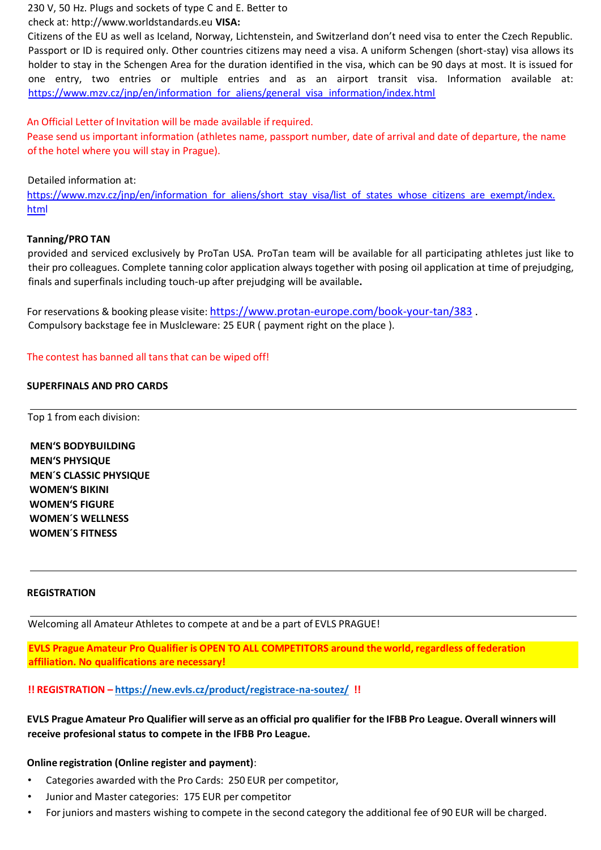230 V, 50 Hz. Plugs and sockets of type C and E. Better to

check at[: http://www.worldstandards.eu](http://www.worldstandards.eu/) **VISA:**

Citizens of the EU as well as Iceland, Norway, Lichtenstein, and Switzerland don't need visa to enter the Czech Republic. Passport or ID is required only. Other countries citizens may need a visa. A uniform Schengen (short-stay) visa allows its holder to stay in the Schengen Area for the duration identified in the visa, which can be 90 days at most. It is issued for one entry, two entries or multiple entries and as an airport transit visa. Information available at: [https://www.mzv.cz/jnp/en/information\\_for\\_aliens/general\\_visa\\_information/index.html](https://www.mzv.cz/jnp/en/information_for_aliens/general_visa_information/index.html)

An Official Letter of Invitation will be made available if required.

Pease send us important information (athletes name, passport number, date of arrival and date of departure, the name of the hotel where you will stay in Prague).

## Detailed information at:

[https://www.mzv.cz/jnp/en/information\\_for\\_aliens/short\\_stay\\_visa/list\\_of\\_states\\_whose\\_citizens\\_are\\_exempt/index.](https://www.mzv.cz/jnp/en/information_for_aliens/short_stay_visa/list_of_states_whose_citizens_are_exempt/index.html) [html](https://www.mzv.cz/jnp/en/information_for_aliens/short_stay_visa/list_of_states_whose_citizens_are_exempt/index.html)

## **Tanning/PRO TAN**

provided and serviced exclusively by ProTan USA. ProTan team will be available for all participating athletes just like to their pro colleagues. Complete tanning color application always together with posing oil application at time of prejudging, finals and superfinals including touch-up after prejudging will be available**.**

For reservations & booking please visite: <https://www.protan-europe.com/book-your-tan/383>. Compulsory backstage fee in Muslcleware: 25 EUR ( payment right on the place ).

The contest has banned all tans that can be wiped off!

#### **SUPERFINALS AND PRO CARDS**

Top 1 from each division:

**MEN'S BODYBUILDING MEN'S PHYSIQUE MEN´S CLASSIC PHYSIQUE WOMEN'S BIKINI WOMEN'S FIGURE WOMEN´S WELLNESS WOMEN´S FITNESS**

#### **REGISTRATION**

Welcoming all Amateur Athletes to compete at and be a part of EVLS PRAGUE!

**EVLS Prague Amateur Pro Qualifier is OPEN TO ALL COMPETITORS around the world, regardless of federation affiliation. No qualifications are necessary!**

## **!! REGISTRATION [–](https://new.evls.cz/product/registrace-na-soutez/) <https://new.evls.cz/product/registrace-na-soutez/> !!**

EVLS Prague Amateur Pro Qualifier will serve as an official pro qualifier for the IFBB Pro League. Overall winners will **receive profesional status to compete in the IFBB Pro League.**

#### **Online registration (Online register and payment)**:

- Categories awarded with the Pro Cards: 250 EUR per competitor,
- Junior and Master categories: 175 EUR per competitor
- For juniors and masters wishing to compete in the second category the additional fee of 90 EUR will be charged.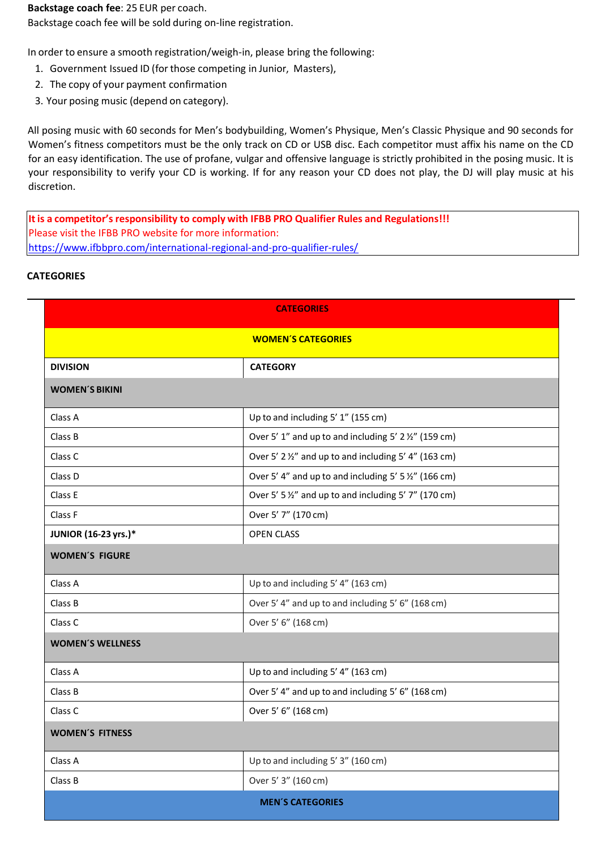**Backstage coach fee**: 25 EUR per coach.

Backstage coach fee will be sold during on-line registration.

In order to ensure a smooth registration/weigh-in, please bring the following:

- 1. Government Issued ID (for those competing in Junior, Masters),
- 2. The copy of your payment confirmation
- 3. Your posing music (depend on category).

All posing music with 60 seconds for Men's bodybuilding, Women's Physique, Men's Classic Physique and 90 seconds for Women's fitness competitors must be the only track on CD or USB disc. Each competitor must affix his name on the CD for an easy identification. The use of profane, vulgar and offensive language is strictly prohibited in the posing music. It is your responsibility to verify your CD is working. If for any reason your CD does not play, the DJ will play music at his discretion.

**It is a competitor's responsibility to comply with IFBB PRO Qualifier Rules and Regulations!!!** Please visit the IFBB PRO website for more information: <https://www.ifbbpro.com/international-regional-and-pro-qualifier-rules/>

# **CATEGORIES**

| <b>CATEGORIES</b>         |                                                       |  |
|---------------------------|-------------------------------------------------------|--|
| <b>WOMEN'S CATEGORIES</b> |                                                       |  |
| <b>DIVISION</b>           | <b>CATEGORY</b>                                       |  |
| <b>WOMEN'S BIKINI</b>     |                                                       |  |
| Class A                   | Up to and including 5' 1" (155 cm)                    |  |
| Class B                   | Over 5' 1" and up to and including 5' 2 %" (159 cm)   |  |
| Class C                   | Over 5' 2 %" and up to and including 5' 4" (163 cm)   |  |
| Class D                   | Over 5' 4" and up to and including 5' 5 %" (166 cm)   |  |
| Class E                   | Over 5' 5 1/2" and up to and including 5' 7" (170 cm) |  |
| Class F                   | Over 5' 7" (170 cm)                                   |  |
| JUNIOR (16-23 yrs.)*      | <b>OPEN CLASS</b>                                     |  |
| <b>WOMEN'S FIGURE</b>     |                                                       |  |
| Class A                   | Up to and including 5' 4" (163 cm)                    |  |
| Class B                   | Over 5' 4" and up to and including 5' 6" (168 cm)     |  |
| Class C                   | Over 5' 6" (168 cm)                                   |  |
| <b>WOMEN'S WELLNESS</b>   |                                                       |  |
| Class A                   | Up to and including 5' 4" (163 cm)                    |  |
| Class B                   | Over 5' 4" and up to and including 5' 6" (168 cm)     |  |
| Class C                   | Over 5' 6" (168 cm)                                   |  |
| <b>WOMEN'S FITNESS</b>    |                                                       |  |
| Class A                   | Up to and including 5' 3" (160 cm)                    |  |
| Class B                   | Over 5' 3" (160 cm)                                   |  |
| <b>MEN'S CATEGORIES</b>   |                                                       |  |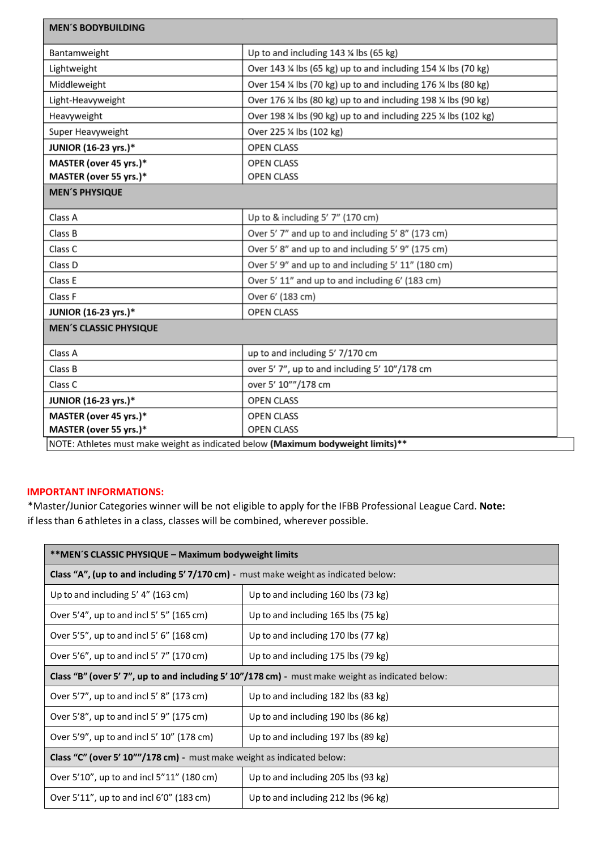| <b>MEN'S BODYBUILDING</b>     |                                                               |  |
|-------------------------------|---------------------------------------------------------------|--|
| Bantamweight                  | Up to and including 143 ¼ lbs (65 kg)                         |  |
| Lightweight                   | Over 143 % lbs (65 kg) up to and including 154 % lbs (70 kg)  |  |
| Middleweight                  | Over 154 % lbs (70 kg) up to and including 176 % lbs (80 kg)  |  |
| Light-Heavyweight             | Over 176 % lbs (80 kg) up to and including 198 % lbs (90 kg)  |  |
| Heavyweight                   | Over 198 ¼ lbs (90 kg) up to and including 225 ¼ lbs (102 kg) |  |
| Super Heavyweight             | Over 225 % lbs (102 kg)                                       |  |
| JUNIOR (16-23 yrs.)*          | <b>OPEN CLASS</b>                                             |  |
| MASTER (over 45 yrs.)*        | <b>OPEN CLASS</b>                                             |  |
| MASTER (over 55 yrs.)*        | <b>OPEN CLASS</b>                                             |  |
| <b>MEN'S PHYSIQUE</b>         |                                                               |  |
| Class A                       | Up to & including 5' 7" (170 cm)                              |  |
| Class B                       | Over 5' 7" and up to and including 5' 8" (173 cm)             |  |
| Class C                       | Over 5' 8" and up to and including 5' 9" (175 cm)             |  |
| Class D                       | Over 5' 9" and up to and including 5' 11" (180 cm)            |  |
| Class E                       | Over 5' 11" and up to and including 6' (183 cm)               |  |
| Class F                       | Over 6' (183 cm)                                              |  |
| JUNIOR (16-23 yrs.)*          | <b>OPEN CLASS</b>                                             |  |
| <b>MEN'S CLASSIC PHYSIQUE</b> |                                                               |  |
| Class A                       | up to and including 5' 7/170 cm                               |  |
| Class B                       | over 5' 7", up to and including 5' 10"/178 cm                 |  |
| Class C                       | over 5' 10""/178 cm                                           |  |
| JUNIOR (16-23 yrs.)*          | <b>OPEN CLASS</b>                                             |  |
| MASTER (over 45 yrs.)*        | <b>OPEN CLASS</b>                                             |  |
| MASTER (over 55 yrs.)*        | <b>OPEN CLASS</b>                                             |  |

#### **IMPORTANT INFORMATIONS:**

\*Master/Junior Categories winner will be not eligible to apply forthe IFBB Professional League Card. **Note:** if less than 6 athletes in a class, classes will be combined, wherever possible.

| **MEN'S CLASSIC PHYSIQUE - Maximum bodyweight limits                                             |                                     |  |
|--------------------------------------------------------------------------------------------------|-------------------------------------|--|
| <b>Class "A", (up to and including 5' 7/170 cm)</b> - must make weight as indicated below:       |                                     |  |
| Up to and including $5'$ 4" (163 cm)                                                             | Up to and including 160 lbs (73 kg) |  |
| Over 5'4", up to and incl 5' 5" (165 cm)                                                         | Up to and including 165 lbs (75 kg) |  |
| Over 5'5", up to and incl 5' 6" (168 cm)                                                         | Up to and including 170 lbs (77 kg) |  |
| Over 5'6", up to and incl 5' 7" (170 cm)                                                         | Up to and including 175 lbs (79 kg) |  |
| Class "B" (over 5' 7", up to and including 5' 10"/178 cm) - must make weight as indicated below: |                                     |  |
| Over 5'7", up to and incl 5' 8" (173 cm)                                                         | Up to and including 182 lbs (83 kg) |  |
| Over 5'8", up to and incl 5' 9" (175 cm)                                                         | Up to and including 190 lbs (86 kg) |  |
| Over 5'9", up to and incl 5' 10" (178 cm)                                                        | Up to and including 197 lbs (89 kg) |  |
| Class "C" (over 5' 10""/178 cm) - must make weight as indicated below:                           |                                     |  |
| Over 5'10", up to and incl 5"11" (180 cm)                                                        | Up to and including 205 lbs (93 kg) |  |
| Over $5'11''$ , up to and incl $6'0''$ (183 cm)                                                  | Up to and including 212 lbs (96 kg) |  |